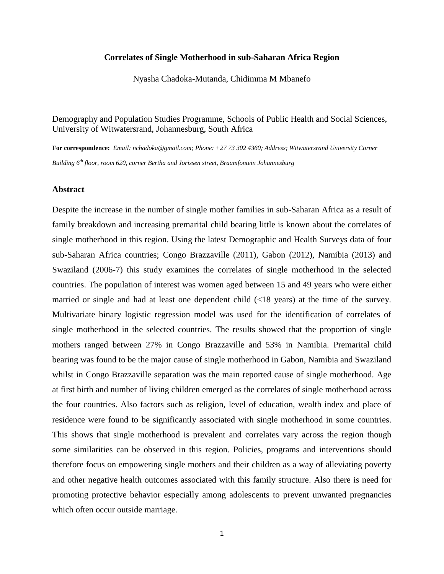## **Correlates of Single Motherhood in sub-Saharan Africa Region**

Nyasha Chadoka-Mutanda, Chidimma M Mbanefo

Demography and Population Studies Programme, Schools of Public Health and Social Sciences, University of Witwatersrand, Johannesburg, South Africa

**For correspondence:** *Email: nchadoka@gmail.com; Phone: +27 73 302 4360; Address; Witwatersrand University Corner Building 6th floor, room 620, corner Bertha and Jorissen street, Braamfontein Johannesburg*

### **Abstract**

Despite the increase in the number of single mother families in sub-Saharan Africa as a result of family breakdown and increasing premarital child bearing little is known about the correlates of single motherhood in this region. Using the latest Demographic and Health Surveys data of four sub-Saharan Africa countries; Congo Brazzaville (2011), Gabon (2012), Namibia (2013) and Swaziland (2006-7) this study examines the correlates of single motherhood in the selected countries. The population of interest was women aged between 15 and 49 years who were either married or single and had at least one dependent child (<18 years) at the time of the survey. Multivariate binary logistic regression model was used for the identification of correlates of single motherhood in the selected countries. The results showed that the proportion of single mothers ranged between 27% in Congo Brazzaville and 53% in Namibia. Premarital child bearing was found to be the major cause of single motherhood in Gabon, Namibia and Swaziland whilst in Congo Brazzaville separation was the main reported cause of single motherhood. Age at first birth and number of living children emerged as the correlates of single motherhood across the four countries. Also factors such as religion, level of education, wealth index and place of residence were found to be significantly associated with single motherhood in some countries. This shows that single motherhood is prevalent and correlates vary across the region though some similarities can be observed in this region. Policies, programs and interventions should therefore focus on empowering single mothers and their children as a way of alleviating poverty and other negative health outcomes associated with this family structure. Also there is need for promoting protective behavior especially among adolescents to prevent unwanted pregnancies which often occur outside marriage.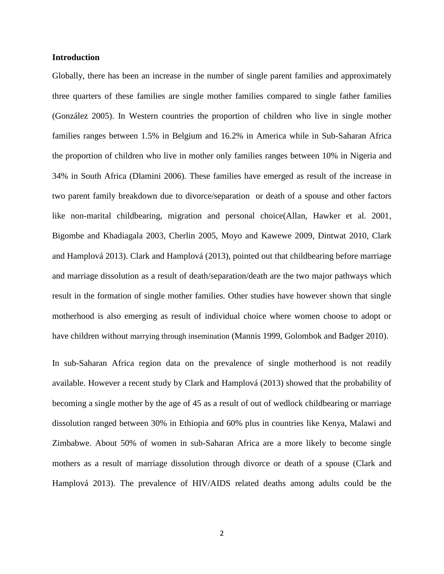### **Introduction**

Globally, there has been an increase in the number of single parent families and approximately three quarters of these families are single mother families compared to single father families [\(González 2005\)](#page-21-0). In Western countries the proportion of children who live in single mother families ranges between 1.5% in Belgium and 16.2% in America while in Sub-Saharan Africa the proportion of children who live in mother only families ranges between 10% in Nigeria and 34% in South Africa [\(Dlamini 2006\)](#page-20-0). These families have emerged as result of the increase in two parent family breakdown due to divorce/separation or death of a spouse and other factors like non-marital childbearing, migration and personal choice[\(Allan, Hawker et al. 2001,](#page-20-1) [Bigombe and Khadiagala 2003,](#page-20-2) [Cherlin 2005,](#page-20-3) [Moyo and Kawewe 2009,](#page-21-1) [Dintwat 2010,](#page-20-4) [Clark](#page-20-5)  [and Hamplová 2013\)](#page-20-5). [Clark and Hamplová \(2013\)](#page-20-5), pointed out that childbearing before marriage and marriage dissolution as a result of death/separation/death are the two major pathways which result in the formation of single mother families. Other studies have however shown that single motherhood is also emerging as result of individual choice where women choose to adopt or have children without marrying through insemination [\(Mannis 1999,](#page-21-2) [Golombok and Badger 2010\)](#page-21-3).

In sub-Saharan Africa region data on the prevalence of single motherhood is not readily available. However a recent study by [Clark and Hamplová \(2013\)](#page-20-5) showed that the probability of becoming a single mother by the age of 45 as a result of out of wedlock childbearing or marriage dissolution ranged between 30% in Ethiopia and 60% plus in countries like Kenya, Malawi and Zimbabwe. About 50% of women in sub-Saharan Africa are a more likely to become single mothers as a result of marriage dissolution through divorce or death of a spouse [\(Clark and](#page-20-5)  [Hamplová 2013\)](#page-20-5). The prevalence of HIV/AIDS related deaths among adults could be the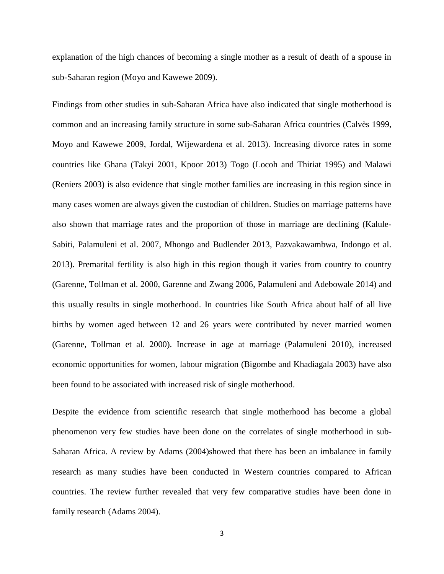explanation of the high chances of becoming a single mother as a result of death of a spouse in sub-Saharan region [\(Moyo and Kawewe 2009\)](#page-21-1).

Findings from other studies in sub-Saharan Africa have also indicated that single motherhood is common and an increasing family structure in some sub-Saharan Africa countries [\(Calvès 1999,](#page-20-6) [Moyo and Kawewe 2009,](#page-21-1) [Jordal, Wijewardena et al. 2013\)](#page-21-4). Increasing divorce rates in some countries like Ghana [\(Takyi 2001,](#page-22-0) [Kpoor 2013\)](#page-21-5) Togo [\(Locoh and Thiriat 1995\)](#page-21-6) and Malawi [\(Reniers 2003\)](#page-22-1) is also evidence that single mother families are increasing in this region since in many cases women are always given the custodian of children. Studies on marriage patterns have also shown that marriage rates and the proportion of those in marriage are declining [\(Kalule-](#page-21-7)[Sabiti, Palamuleni et al. 2007,](#page-21-7) [Mhongo and Budlender 2013,](#page-21-8) [Pazvakawambwa, Indongo et al.](#page-22-2)  [2013\)](#page-22-2). Premarital fertility is also high in this region though it varies from country to country [\(Garenne, Tollman et al. 2000,](#page-20-7) [Garenne and Zwang 2006,](#page-20-8) [Palamuleni and Adebowale 2014\)](#page-21-9) and this usually results in single motherhood. In countries like South Africa about half of all live births by women aged between 12 and 26 years were contributed by never married women [\(Garenne, Tollman et al. 2000\)](#page-20-7). Increase in age at marriage [\(Palamuleni 2010\)](#page-21-10), increased economic opportunities for women, labour migration [\(Bigombe and Khadiagala 2003\)](#page-20-2) have also been found to be associated with increased risk of single motherhood.

Despite the evidence from scientific research that single motherhood has become a global phenomenon very few studies have been done on the correlates of single motherhood in sub-Saharan Africa. A review by [Adams \(2004\)](#page-19-0)showed that there has been an imbalance in family research as many studies have been conducted in Western countries compared to African countries. The review further revealed that very few comparative studies have been done in family research [\(Adams 2004\)](#page-19-0).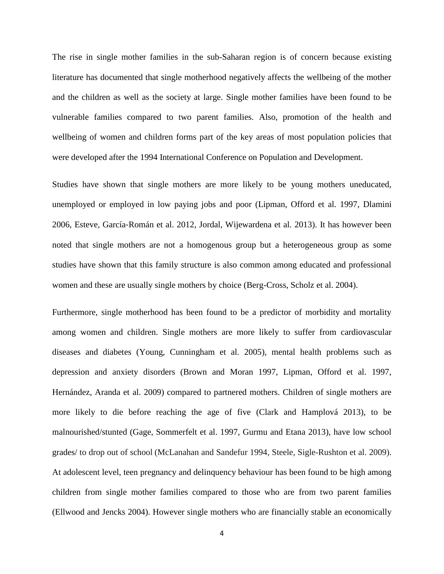The rise in single mother families in the sub-Saharan region is of concern because existing literature has documented that single motherhood negatively affects the wellbeing of the mother and the children as well as the society at large. Single mother families have been found to be vulnerable families compared to two parent families. Also, promotion of the health and wellbeing of women and children forms part of the key areas of most population policies that were developed after the 1994 International Conference on Population and Development.

Studies have shown that single mothers are more likely to be young mothers uneducated, unemployed or employed in low paying jobs and poor [\(Lipman, Offord et al. 1997,](#page-21-11) [Dlamini](#page-20-0)  [2006,](#page-20-0) Esteve, García‐[Román et al. 2012,](#page-20-9) [Jordal, Wijewardena et al. 2013\)](#page-21-4). It has however been noted that single mothers are not a homogenous group but a heterogeneous group as some studies have shown that this family structure is also common among educated and professional women and these are usually single mothers by choice [\(Berg-Cross, Scholz et al. 2004\)](#page-20-10).

Furthermore, single motherhood has been found to be a predictor of morbidity and mortality among women and children. Single mothers are more likely to suffer from cardiovascular diseases and diabetes [\(Young, Cunningham et al. 2005\)](#page-22-3), mental health problems such as depression and anxiety disorders [\(Brown and Moran 1997,](#page-20-11) [Lipman, Offord et al. 1997,](#page-21-11) [Hernández, Aranda et al. 2009\)](#page-21-12) compared to partnered mothers. Children of single mothers are more likely to die before reaching the age of five [\(Clark and Hamplová 2013\)](#page-20-5), to be malnourished/stunted [\(Gage, Sommerfelt et al. 1997,](#page-20-12) [Gurmu and Etana 2013\)](#page-21-13), have low school grades/ to drop out of school [\(McLanahan and Sandefur 1994,](#page-21-14) [Steele, Sigle-Rushton et al. 2009\)](#page-22-4). At adolescent level, teen pregnancy and delinquency behaviour has been found to be high among children from single mother families compared to those who are from two parent families [\(Ellwood and Jencks 2004\)](#page-20-13). However single mothers who are financially stable an economically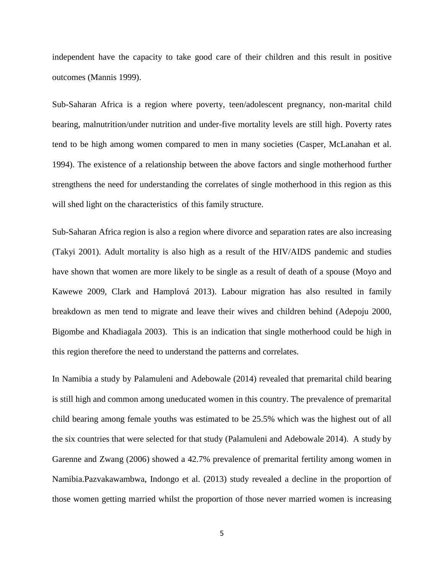independent have the capacity to take good care of their children and this result in positive outcomes [\(Mannis 1999\)](#page-21-2).

Sub-Saharan Africa is a region where poverty, teen/adolescent pregnancy, non-marital child bearing, malnutrition/under nutrition and under-five mortality levels are still high. Poverty rates tend to be high among women compared to men in many societies [\(Casper, McLanahan et al.](#page-20-14)  [1994\)](#page-20-14). The existence of a relationship between the above factors and single motherhood further strengthens the need for understanding the correlates of single motherhood in this region as this will shed light on the characteristics of this family structure.

Sub-Saharan Africa region is also a region where divorce and separation rates are also increasing [\(Takyi 2001\)](#page-22-0). Adult mortality is also high as a result of the HIV/AIDS pandemic and studies have shown that women are more likely to be single as a result of death of a spouse [\(Moyo and](#page-21-1)  [Kawewe 2009,](#page-21-1) [Clark and Hamplová 2013\)](#page-20-5). Labour migration has also resulted in family breakdown as men tend to migrate and leave their wives and children behind [\(Adepoju 2000,](#page-20-15) [Bigombe and Khadiagala 2003\)](#page-20-2). This is an indication that single motherhood could be high in this region therefore the need to understand the patterns and correlates.

In Namibia a study by Palamuleni and [Adebowale \(2014\)](#page-21-9) revealed that premarital child bearing is still high and common among uneducated women in this country. The prevalence of premarital child bearing among female youths was estimated to be 25.5% which was the highest out of all the six countries that were selected for that study [\(Palamuleni and Adebowale 2014\)](#page-21-9). A study by [Garenne and Zwang \(2006\)](#page-20-8) showed a 42.7% prevalence of premarital fertility among women in Namibia[.Pazvakawambwa, Indongo et al. \(2013\)](#page-22-2) study revealed a decline in the proportion of those women getting married whilst the proportion of those never married women is increasing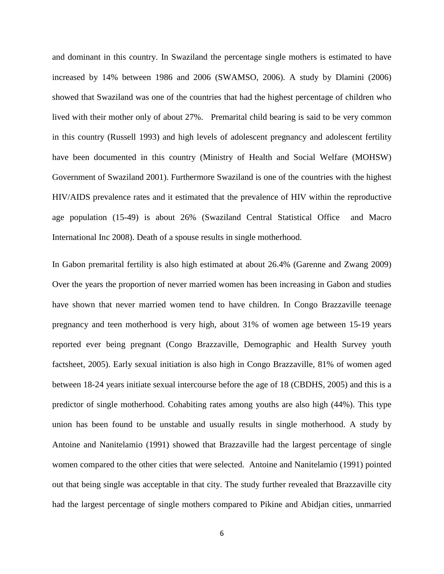and dominant in this country. In Swaziland the percentage single mothers is estimated to have increased by 14% between 1986 and 2006 (SWAMSO, 2006). A study by [Dlamini \(2006\)](#page-20-0) showed that Swaziland was one of the countries that had the highest percentage of children who lived with their mother only of about 27%. Premarital child bearing is said to be very common in this country [\(Russell 1993\)](#page-22-5) and high levels of adolescent pregnancy and adolescent fertility have been documented in this country [\(Ministry of Health and Social Welfare \(MOHSW\)](#page-21-15)  [Government of Swaziland 2001\)](#page-21-15). Furthermore Swaziland is one of the countries with the highest HIV/AIDS prevalence rates and it estimated that the prevalence of HIV within the reproductive age population (15-49) is about 26% [\(Swaziland Central Statistical Office and Macro](#page-22-6)  [International Inc 2008\)](#page-22-6). Death of a spouse results in single motherhood.

In Gabon premarital fertility is also high estimated at about 26.4% [\(Garenne and Zwang 2009\)](#page-21-16) Over the years the proportion of never married women has been increasing in Gabon and studies have shown that never married women tend to have children. In Congo Brazzaville teenage pregnancy and teen motherhood is very high, about 31% of women age between 15-19 years reported ever being pregnant (Congo Brazzaville, Demographic and Health Survey youth factsheet, 2005). Early sexual initiation is also high in Congo Brazzaville, 81% of women aged between 18-24 years initiate sexual intercourse before the age of 18 (CBDHS, 2005) and this is a predictor of single motherhood. Cohabiting rates among youths are also high (44%). This type union has been found to be unstable and usually results in single motherhood. A study by [Antoine and Nanitelamio \(1991\)](#page-20-16) showed that Brazzaville had the largest percentage of single women compared to the other cities that were selected. [Antoine and Nanitelamio \(1991\)](#page-20-16) pointed out that being single was acceptable in that city. The study further revealed that Brazzaville city had the largest percentage of single mothers compared to Pikine and Abidjan cities, unmarried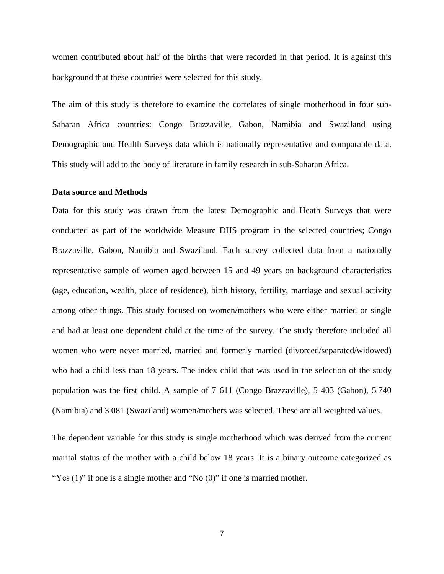women contributed about half of the births that were recorded in that period. It is against this background that these countries were selected for this study.

The aim of this study is therefore to examine the correlates of single motherhood in four sub-Saharan Africa countries: Congo Brazzaville, Gabon, Namibia and Swaziland using Demographic and Health Surveys data which is nationally representative and comparable data. This study will add to the body of literature in family research in sub-Saharan Africa.

### **Data source and Methods**

Data for this study was drawn from the latest Demographic and Heath Surveys that were conducted as part of the worldwide Measure DHS program in the selected countries; Congo Brazzaville, Gabon, Namibia and Swaziland. Each survey collected data from a nationally representative sample of women aged between 15 and 49 years on background characteristics (age, education, wealth, place of residence), birth history, fertility, marriage and sexual activity among other things. This study focused on women/mothers who were either married or single and had at least one dependent child at the time of the survey. The study therefore included all women who were never married, married and formerly married (divorced/separated/widowed) who had a child less than 18 years. The index child that was used in the selection of the study population was the first child. A sample of 7 611 (Congo Brazzaville), 5 403 (Gabon), 5 740 (Namibia) and 3 081 (Swaziland) women/mothers was selected. These are all weighted values.

The dependent variable for this study is single motherhood which was derived from the current marital status of the mother with a child below 18 years. It is a binary outcome categorized as "Yes  $(1)$ " if one is a single mother and "No  $(0)$ " if one is married mother.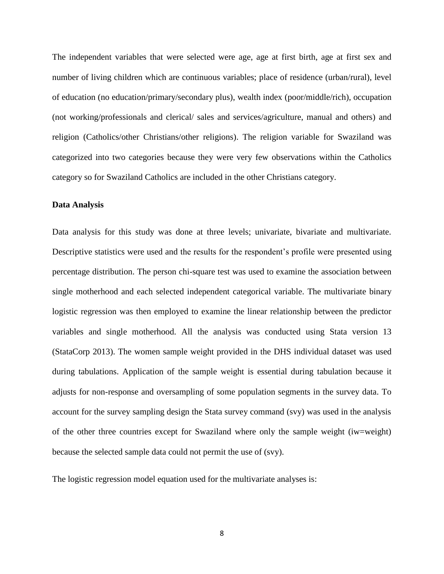The independent variables that were selected were age, age at first birth, age at first sex and number of living children which are continuous variables; place of residence (urban/rural), level of education (no education/primary/secondary plus), wealth index (poor/middle/rich), occupation (not working/professionals and clerical/ sales and services/agriculture, manual and others) and religion (Catholics/other Christians/other religions). The religion variable for Swaziland was categorized into two categories because they were very few observations within the Catholics category so for Swaziland Catholics are included in the other Christians category.

# **Data Analysis**

Data analysis for this study was done at three levels; univariate, bivariate and multivariate. Descriptive statistics were used and the results for the respondent's profile were presented using percentage distribution. The person chi-square test was used to examine the association between single motherhood and each selected independent categorical variable. The multivariate binary logistic regression was then employed to examine the linear relationship between the predictor variables and single motherhood. All the analysis was conducted using Stata version 13 [\(StataCorp 2013\)](#page-22-7). The women sample weight provided in the DHS individual dataset was used during tabulations. Application of the sample weight is essential during tabulation because it adjusts for non-response and oversampling of some population segments in the survey data. To account for the survey sampling design the Stata survey command (svy) was used in the analysis of the other three countries except for Swaziland where only the sample weight (iw=weight) because the selected sample data could not permit the use of (svy).

The logistic regression model equation used for the multivariate analyses is: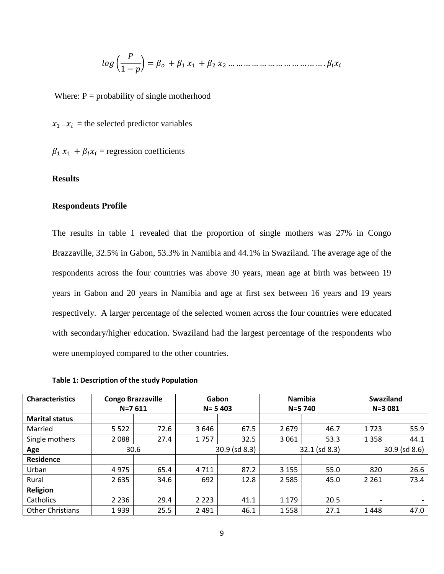( 1 − ) = + <sup>1</sup> <sup>1</sup> + <sup>2</sup> <sup>2</sup> … … … … … … … … … … … … .

Where:  $P = probability of single motherhood$ 

 $x_1 - x_i$  = the selected predictor variables

 $\beta_1 x_1 + \beta_i x_i$  = regression coefficients

## **Results**

### **Respondents Profile**

The results in table 1 revealed that the proportion of single mothers was 27% in Congo Brazzaville, 32.5% in Gabon, 53.3% in Namibia and 44.1% in Swaziland. The average age of the respondents across the four countries was above 30 years, mean age at birth was between 19 years in Gabon and 20 years in Namibia and age at first sex between 16 years and 19 years respectively. A larger percentage of the selected women across the four countries were educated with secondary/higher education. Swaziland had the largest percentage of the respondents who were unemployed compared to the other countries.

**Table 1: Description of the study Population** 

| <b>Characteristics</b>  | <b>Congo Brazzaville</b> |      | Gabon                      |            |         | <b>Namibia</b>     | <b>Swaziland</b>   |      |  |
|-------------------------|--------------------------|------|----------------------------|------------|---------|--------------------|--------------------|------|--|
|                         | $N = 7611$               |      |                            | $N = 5403$ |         | N=5 740            | $N = 3081$         |      |  |
| <b>Marital status</b>   |                          |      |                            |            |         |                    |                    |      |  |
| Married                 | 5 5 2 2                  | 72.6 | 3646                       | 67.5       | 2679    | 46.7               | 1723               | 55.9 |  |
| Single mothers          | 2088                     | 27.4 | 1757                       | 32.5       | 3 0 6 1 | 53.3               | 1 3 5 8            | 44.1 |  |
| Age                     | 30.6                     |      | $30.9$ (sd $8.3$ )         |            |         | $32.1$ (sd $8.3$ ) | $30.9$ (sd $8.6$ ) |      |  |
| <b>Residence</b>        |                          |      |                            |            |         |                    |                    |      |  |
| Urban                   | 4975                     | 65.4 | 4 7 1 1                    | 87.2       | 3 1 5 5 | 55.0               | 820                | 26.6 |  |
| Rural                   | 2 6 3 5                  | 34.6 | 692                        | 12.8       | 2 5 8 5 | 45.0               | 2 2 6 1            | 73.4 |  |
| Religion                |                          |      |                            |            |         |                    |                    |      |  |
| Catholics               | 2 2 3 6                  | 29.4 | 2 2 2 3<br>1 1 7 9<br>41.1 |            | 20.5    | $\blacksquare$     |                    |      |  |
| <b>Other Christians</b> | 1939                     | 25.5 | 2 4 9 1                    | 46.1       |         | 27.1               | 1448               | 47.0 |  |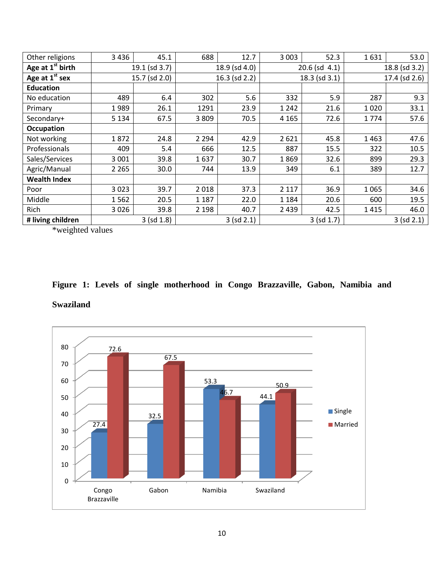| Other religions     | 3436          | 45.1          | 688           | 12.7       | 3 0 0 3 | 52.3               | 1631          | 53.0 |  |
|---------------------|---------------|---------------|---------------|------------|---------|--------------------|---------------|------|--|
| Age at $1st$ birth  | 19.1 (sd 3.7) |               | 18.9 (sd 4.0) |            |         | $20.6$ (sd $4.1$ ) | 18.8 (sd 3.2) |      |  |
| Age at $1st$ sex    |               | 15.7 (sd 2.0) | 16.3 (sd 2.2) |            |         | $18.3$ (sd $3.1$ ) | 17.4 (sd 2.6) |      |  |
| <b>Education</b>    |               |               |               |            |         |                    |               |      |  |
| No education        | 489           | 6.4           | 302           | 5.6        | 332     | 5.9                | 287           | 9.3  |  |
| Primary             | 1989          | 26.1          | 1291          | 23.9       | 1 2 4 2 | 21.6               | 1020          | 33.1 |  |
| Secondary+          | 5 1 3 4       | 67.5          | 3809          | 70.5       | 4 1 6 5 | 72.6               | 1774          | 57.6 |  |
| <b>Occupation</b>   |               |               |               |            |         |                    |               |      |  |
| Not working         | 1872          | 24.8          | 2 2 9 4       | 42.9       | 2621    | 45.8               | 1463          | 47.6 |  |
| Professionals       | 409           | 5.4           | 666           | 12.5       | 887     | 15.5               | 322           | 10.5 |  |
| Sales/Services      | 3 0 0 1       | 39.8          | 1637          | 30.7       | 1869    | 32.6               | 899           | 29.3 |  |
| Agric/Manual        | 2 2 6 5       | 30.0          | 744           | 13.9       | 349     | 6.1                | 389           | 12.7 |  |
| <b>Wealth Index</b> |               |               |               |            |         |                    |               |      |  |
| Poor                | 3 0 2 3       | 39.7          | 2018          | 37.3       | 2 1 1 7 | 36.9               | 1 0 6 5       | 34.6 |  |
| Middle              | 1562          | 20.5          | 1 1 8 7       | 22.0       | 1 1 8 4 | 20.6               | 600           | 19.5 |  |
| Rich                | 3026          | 39.8          | 2 1 9 8       | 40.7       | 2 4 3 9 | 42.5               | 1415          | 46.0 |  |
| # living children   | 3 (sd 1.8)    |               |               | 3 (sd 2.1) |         | 3 (sd 1.7)         | 3 (sd 2.1)    |      |  |

\*weighted values

# **Figure 1: Levels of single motherhood in Congo Brazzaville, Gabon, Namibia and Swaziland**

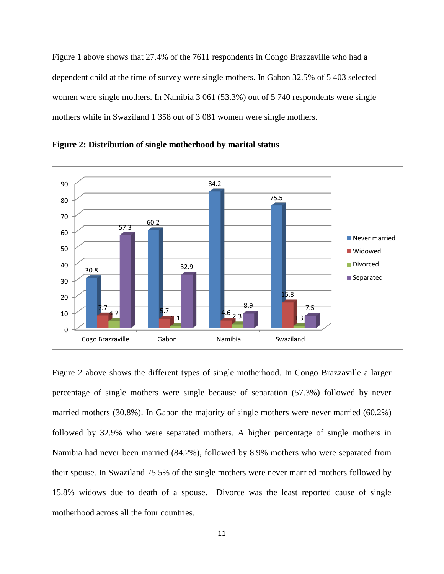Figure 1 above shows that 27.4% of the 7611 respondents in Congo Brazzaville who had a dependent child at the time of survey were single mothers. In Gabon 32.5% of 5 403 selected women were single mothers. In Namibia 3 061 (53.3%) out of 5 740 respondents were single mothers while in Swaziland 1 358 out of 3 081 women were single mothers.



**Figure 2: Distribution of single motherhood by marital status**

Figure 2 above shows the different types of single motherhood. In Congo Brazzaville a larger percentage of single mothers were single because of separation (57.3%) followed by never married mothers (30.8%). In Gabon the majority of single mothers were never married (60.2%) followed by 32.9% who were separated mothers. A higher percentage of single mothers in Namibia had never been married (84.2%), followed by 8.9% mothers who were separated from their spouse. In Swaziland 75.5% of the single mothers were never married mothers followed by 15.8% widows due to death of a spouse. Divorce was the least reported cause of single motherhood across all the four countries.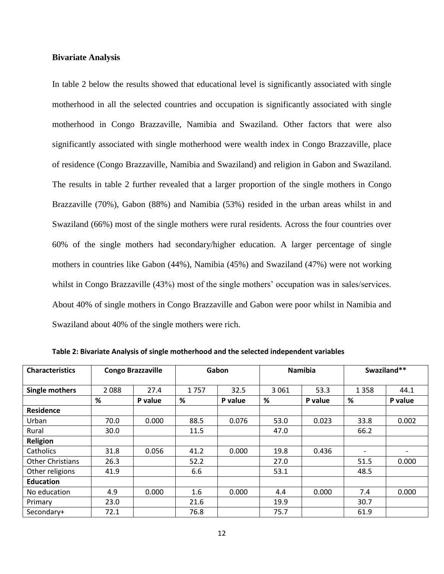## **Bivariate Analysis**

In table 2 below the results showed that educational level is significantly associated with single motherhood in all the selected countries and occupation is significantly associated with single motherhood in Congo Brazzaville, Namibia and Swaziland. Other factors that were also significantly associated with single motherhood were wealth index in Congo Brazzaville, place of residence (Congo Brazzaville, Namibia and Swaziland) and religion in Gabon and Swaziland. The results in table 2 further revealed that a larger proportion of the single mothers in Congo Brazzaville (70%), Gabon (88%) and Namibia (53%) resided in the urban areas whilst in and Swaziland (66%) most of the single mothers were rural residents. Across the four countries over 60% of the single mothers had secondary/higher education. A larger percentage of single mothers in countries like Gabon (44%), Namibia (45%) and Swaziland (47%) were not working whilst in Congo Brazzaville (43%) most of the single mothers' occupation was in sales/services. About 40% of single mothers in Congo Brazzaville and Gabon were poor whilst in Namibia and Swaziland about 40% of the single mothers were rich.

| <b>Characteristics</b>  |              | <b>Congo Brazzaville</b> |              | Gabon |              | <b>Namibia</b>  |                          | Swaziland** |  |
|-------------------------|--------------|--------------------------|--------------|-------|--------------|-----------------|--------------------------|-------------|--|
| Single mothers          | 2088<br>27.4 |                          | 1757         | 32.5  |              | 53.3<br>3 0 6 1 |                          | 44.1        |  |
|                         | %<br>P value |                          | %<br>P value |       | %<br>P value |                 | %<br>P value             |             |  |
| <b>Residence</b>        |              |                          |              |       |              |                 |                          |             |  |
| Urban                   | 70.0         | 0.000                    | 88.5         | 0.076 | 53.0         | 0.023           | 33.8                     | 0.002       |  |
| Rural                   | 30.0         |                          | 11.5         |       | 47.0         |                 | 66.2                     |             |  |
| <b>Religion</b>         |              |                          |              |       |              |                 |                          |             |  |
| Catholics               | 31.8         | 0.056                    | 41.2         | 0.000 | 19.8         | 0.436           | $\overline{\phantom{0}}$ |             |  |
| <b>Other Christians</b> | 26.3         |                          | 52.2         |       | 27.0         |                 | 51.5                     | 0.000       |  |
| Other religions         | 41.9         |                          | 6.6          |       | 53.1         |                 | 48.5                     |             |  |
| <b>Education</b>        |              |                          |              |       |              |                 |                          |             |  |
| No education            | 4.9          | 0.000                    | 1.6          | 0.000 | 4.4          | 0.000           | 7.4                      | 0.000       |  |
| Primary                 | 23.0         |                          | 21.6         |       | 19.9         |                 | 30.7                     |             |  |
| Secondary+              | 72.1         |                          | 76.8         |       | 75.7         |                 | 61.9                     |             |  |

**Table 2: Bivariate Analysis of single motherhood and the selected independent variables**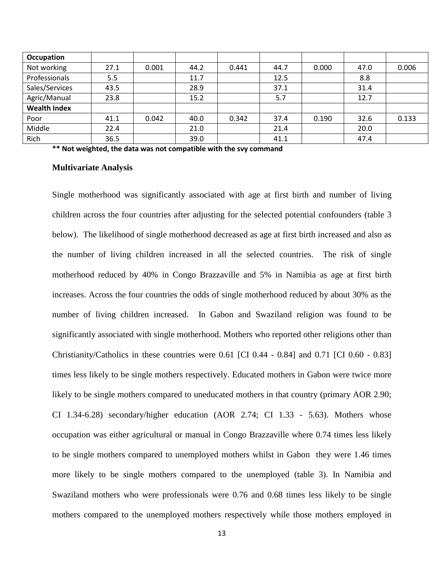| <b>Occupation</b>   |      |       |      |       |      |       |      |       |
|---------------------|------|-------|------|-------|------|-------|------|-------|
| Not working         | 27.1 | 0.001 | 44.2 | 0.441 | 44.7 | 0.000 | 47.0 | 0.006 |
| Professionals       | 5.5  |       | 11.7 |       | 12.5 |       | 8.8  |       |
| Sales/Services      | 43.5 |       | 28.9 |       | 37.1 |       | 31.4 |       |
| Agric/Manual        | 23.8 |       | 15.2 |       | 5.7  |       | 12.7 |       |
| <b>Wealth Index</b> |      |       |      |       |      |       |      |       |
| Poor                | 41.1 | 0.042 | 40.0 | 0.342 | 37.4 | 0.190 | 32.6 | 0.133 |
| Middle              | 22.4 |       | 21.0 |       | 21.4 |       | 20.0 |       |
| Rich                | 36.5 |       | 39.0 |       | 41.1 |       | 47.4 |       |

**\*\* Not weighted, the data was not compatible with the svy command**

### **Multivariate Analysis**

Single motherhood was significantly associated with age at first birth and number of living children across the four countries after adjusting for the selected potential confounders (table 3 below). The likelihood of single motherhood decreased as age at first birth increased and also as the number of living children increased in all the selected countries. The risk of single motherhood reduced by 40% in Congo Brazzaville and 5% in Namibia as age at first birth increases. Across the four countries the odds of single motherhood reduced by about 30% as the number of living children increased. In Gabon and Swaziland religion was found to be significantly associated with single motherhood. Mothers who reported other religions other than Christianity/Catholics in these countries were 0.61 [CI 0.44 - 0.84] and 0.71 [CI 0.60 - 0.83] times less likely to be single mothers respectively. Educated mothers in Gabon were twice more likely to be single mothers compared to uneducated mothers in that country (primary AOR 2.90; CI 1.34-6.28) secondary/higher education (AOR 2.74; CI 1.33 - 5.63). Mothers whose occupation was either agricultural or manual in Congo Brazzaville where 0.74 times less likely to be single mothers compared to unemployed mothers whilst in Gabon they were 1.46 times more likely to be single mothers compared to the unemployed (table 3). In Namibia and Swaziland mothers who were professionals were 0.76 and 0.68 times less likely to be single mothers compared to the unemployed mothers respectively while those mothers employed in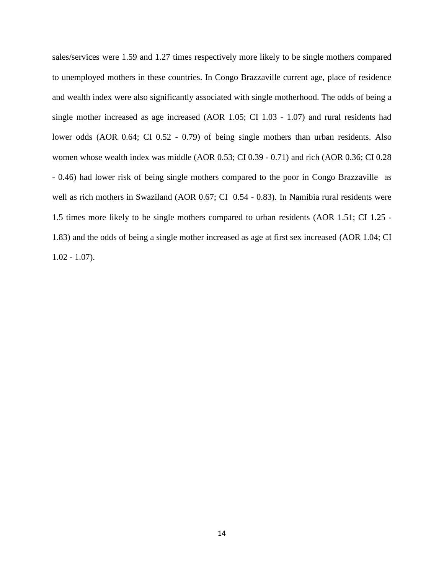sales/services were 1.59 and 1.27 times respectively more likely to be single mothers compared to unemployed mothers in these countries. In Congo Brazzaville current age, place of residence and wealth index were also significantly associated with single motherhood. The odds of being a single mother increased as age increased (AOR 1.05; CI 1.03 - 1.07) and rural residents had lower odds (AOR 0.64; CI 0.52 - 0.79) of being single mothers than urban residents. Also women whose wealth index was middle (AOR 0.53; CI 0.39 - 0.71) and rich (AOR 0.36; CI 0.28 - 0.46) had lower risk of being single mothers compared to the poor in Congo Brazzaville as well as rich mothers in Swaziland (AOR 0.67; CI 0.54 - 0.83). In Namibia rural residents were 1.5 times more likely to be single mothers compared to urban residents (AOR 1.51; CI 1.25 - 1.83) and the odds of being a single mother increased as age at first sex increased (AOR 1.04; CI  $1.02 - 1.07$ ).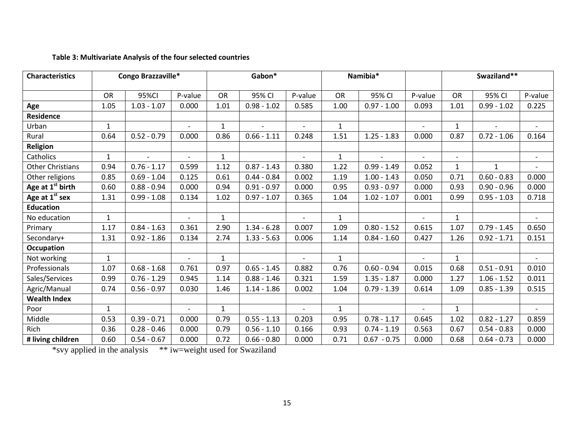# **Table 3: Multivariate Analysis of the four selected countries**

| <b>Characteristics</b>       |              | Congo Brazzaville*       |                          |              | Gabon*                   |                          | Namibia*     |                |                          | Swaziland**              |                          |                          |
|------------------------------|--------------|--------------------------|--------------------------|--------------|--------------------------|--------------------------|--------------|----------------|--------------------------|--------------------------|--------------------------|--------------------------|
|                              | <b>OR</b>    | 95%CI                    | P-value                  | OR           | 95% CI                   | P-value                  | OR           | 95% CI         | P-value                  | <b>OR</b>                | 95% CI                   | P-value                  |
| Age                          | 1.05         | $1.03 - 1.07$            | 0.000                    | 1.01         | $0.98 - 1.02$            | 0.585                    | 1.00         | $0.97 - 1.00$  | 0.093                    | 1.01                     | $0.99 - 1.02$            | 0.225                    |
| <b>Residence</b>             |              |                          |                          |              |                          |                          |              |                |                          |                          |                          |                          |
| Urban                        | 1            |                          | $\overline{\phantom{0}}$ | $\mathbf{1}$ | $\overline{\phantom{0}}$ | $\overline{\phantom{a}}$ | $\mathbf{1}$ |                | $\overline{a}$           | $\mathbf{1}$             | $\overline{\phantom{a}}$ | $\overline{\phantom{0}}$ |
| Rural                        | 0.64         | $0.52 - 0.79$            | 0.000                    | 0.86         | $0.66 - 1.11$            | 0.248                    | 1.51         | $1.25 - 1.83$  | 0.000                    | 0.87                     | $0.72 - 1.06$            | 0.164                    |
| Religion                     |              |                          |                          |              |                          |                          |              |                |                          |                          |                          |                          |
| Catholics                    | $\mathbf{1}$ | $\overline{\phantom{a}}$ | $\overline{\phantom{0}}$ | $\mathbf{1}$ |                          | $\overline{a}$           | $\mathbf{1}$ | $\blacksquare$ | $\overline{\phantom{a}}$ | $\overline{\phantom{a}}$ |                          | $\overline{\phantom{a}}$ |
| <b>Other Christians</b>      | 0.94         | $0.76 - 1.17$            | 0.599                    | 1.12         | $0.87 - 1.43$            | 0.380                    | 1.22         | $0.99 - 1.49$  | 0.052                    | $\mathbf{1}$             | 1                        | $\overline{\phantom{a}}$ |
| Other religions              | 0.85         | $0.69 - 1.04$            | 0.125                    | 0.61         | $0.44 - 0.84$            | 0.002                    | 1.19         | $1.00 - 1.43$  | 0.050                    | 0.71                     | $0.60 - 0.83$            | 0.000                    |
| Age at 1 <sup>st</sup> birth | 0.60         | $0.88 - 0.94$            | 0.000                    | 0.94         | $0.91 - 0.97$            | 0.000                    | 0.95         | $0.93 - 0.97$  | 0.000                    | 0.93                     | $0.90 - 0.96$            | 0.000                    |
| Age at 1 <sup>st</sup> sex   | 1.31         | $0.99 - 1.08$            | 0.134                    | 1.02         | $0.97 - 1.07$            | 0.365                    | 1.04         | $1.02 - 1.07$  | 0.001                    | 0.99                     | $0.95 - 1.03$            | 0.718                    |
| <b>Education</b>             |              |                          |                          |              |                          |                          |              |                |                          |                          |                          |                          |
| No education                 | $\mathbf{1}$ |                          | $\overline{\phantom{0}}$ | $\mathbf{1}$ |                          | $\overline{\phantom{a}}$ | $\mathbf{1}$ |                | $\overline{\phantom{a}}$ | $\mathbf{1}$             |                          | $\overline{\phantom{a}}$ |
| Primary                      | 1.17         | $0.84 - 1.63$            | 0.361                    | 2.90         | $1.34 - 6.28$            | 0.007                    | 1.09         | $0.80 - 1.52$  | 0.615                    | 1.07                     | $0.79 - 1.45$            | 0.650                    |
| Secondary+                   | 1.31         | $0.92 - 1.86$            | 0.134                    | 2.74         | $1.33 - 5.63$            | 0.006                    | 1.14         | $0.84 - 1.60$  | 0.427                    | 1.26                     | $0.92 - 1.71$            | 0.151                    |
| <b>Occupation</b>            |              |                          |                          |              |                          |                          |              |                |                          |                          |                          |                          |
| Not working                  | 1            |                          |                          | $\mathbf{1}$ |                          |                          | $\mathbf{1}$ |                | $\blacksquare$           | $\mathbf{1}$             |                          | $\overline{\phantom{a}}$ |
| Professionals                | 1.07         | $0.68 - 1.68$            | 0.761                    | 0.97         | $0.65 - 1.45$            | 0.882                    | 0.76         | $0.60 - 0.94$  | 0.015                    | 0.68                     | $0.51 - 0.91$            | 0.010                    |
| Sales/Services               | 0.99         | $0.76 - 1.29$            | 0.945                    | 1.14         | $0.88 - 1.46$            | 0.321                    | 1.59         | $1.35 - 1.87$  | 0.000                    | 1.27                     | $1.06 - 1.52$            | 0.011                    |
| Agric/Manual                 | 0.74         | $0.56 - 0.97$            | 0.030                    | 1.46         | $1.14 - 1.86$            | 0.002                    | 1.04         | $0.79 - 1.39$  | 0.614                    | 1.09                     | $0.85 - 1.39$            | 0.515                    |
| <b>Wealth Index</b>          |              |                          |                          |              |                          |                          |              |                |                          |                          |                          |                          |
| Poor                         | $\mathbf{1}$ |                          |                          | $\mathbf{1}$ |                          |                          | $\mathbf{1}$ |                |                          | $\mathbf{1}$             |                          | $\overline{\phantom{a}}$ |
| Middle                       | 0.53         | $0.39 - 0.71$            | 0.000                    | 0.79         | $0.55 - 1.13$            | 0.203                    | 0.95         | $0.78 - 1.17$  | 0.645                    | 1.02                     | $0.82 - 1.27$            | 0.859                    |
| <b>Rich</b>                  | 0.36         | $0.28 - 0.46$            | 0.000                    | 0.79         | $0.56 - 1.10$            | 0.166                    | 0.93         | $0.74 - 1.19$  | 0.563                    | 0.67                     | $0.54 - 0.83$            | 0.000                    |
| # living children            | 0.60         | $0.54 - 0.67$            | 0.000                    | 0.72         | $0.66 - 0.80$            | 0.000                    | 0.71         | $0.67 - 0.75$  | 0.000                    | 0.68                     | $0.64 - 0.73$            | 0.000                    |

\*svy applied in the analysis \*\* iw=weight used for Swaziland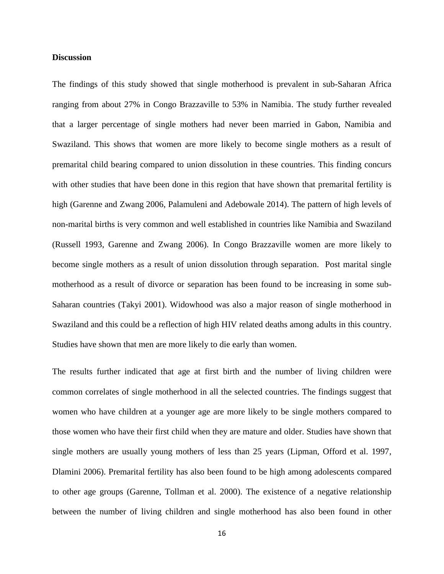# **Discussion**

The findings of this study showed that single motherhood is prevalent in sub-Saharan Africa ranging from about 27% in Congo Brazzaville to 53% in Namibia. The study further revealed that a larger percentage of single mothers had never been married in Gabon, Namibia and Swaziland. This shows that women are more likely to become single mothers as a result of premarital child bearing compared to union dissolution in these countries. This finding concurs with other studies that have been done in this region that have shown that premarital fertility is high [\(Garenne and Zwang 2006,](#page-20-8) [Palamuleni and Adebowale 2014\)](#page-21-9). The pattern of high levels of non-marital births is very common and well established in countries like Namibia and Swaziland [\(Russell 1993,](#page-22-5) [Garenne and Zwang 2006\)](#page-20-8). In Congo Brazzaville women are more likely to become single mothers as a result of union dissolution through separation. Post marital single motherhood as a result of divorce or separation has been found to be increasing in some sub-Saharan countries [\(Takyi 2001\)](#page-22-0). Widowhood was also a major reason of single motherhood in Swaziland and this could be a reflection of high HIV related deaths among adults in this country. Studies have shown that men are more likely to die early than women.

The results further indicated that age at first birth and the number of living children were common correlates of single motherhood in all the selected countries. The findings suggest that women who have children at a younger age are more likely to be single mothers compared to those women who have their first child when they are mature and older. Studies have shown that single mothers are usually young mothers of less than 25 years [\(Lipman, Offord et al. 1997,](#page-21-11) [Dlamini 2006\)](#page-20-0). Premarital fertility has also been found to be high among adolescents compared to other age groups [\(Garenne, Tollman et al. 2000\)](#page-20-7). The existence of a negative relationship between the number of living children and single motherhood has also been found in other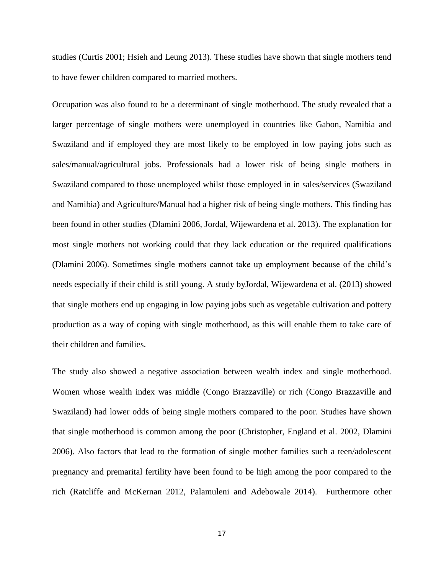studies (Curtis 2001; Hsieh and Leung 2013). These studies have shown that single mothers tend to have fewer children compared to married mothers.

Occupation was also found to be a determinant of single motherhood. The study revealed that a larger percentage of single mothers were unemployed in countries like Gabon, Namibia and Swaziland and if employed they are most likely to be employed in low paying jobs such as sales/manual/agricultural jobs. Professionals had a lower risk of being single mothers in Swaziland compared to those unemployed whilst those employed in in sales/services (Swaziland and Namibia) and Agriculture/Manual had a higher risk of being single mothers. This finding has been found in other studies [\(Dlamini 2006,](#page-20-0) [Jordal, Wijewardena et al. 2013\)](#page-21-4). The explanation for most single mothers not working could that they lack education or the required qualifications [\(Dlamini 2006\)](#page-20-0). Sometimes single mothers cannot take up employment because of the child's needs especially if their child is still young. A study b[yJordal, Wijewardena et al. \(2013\)](#page-21-4) showed that single mothers end up engaging in low paying jobs such as vegetable cultivation and pottery production as a way of coping with single motherhood, as this will enable them to take care of their children and families.

The study also showed a negative association between wealth index and single motherhood. Women whose wealth index was middle (Congo Brazzaville) or rich (Congo Brazzaville and Swaziland) had lower odds of being single mothers compared to the poor. Studies have shown that single motherhood is common among the poor [\(Christopher, England et al. 2002,](#page-20-17) [Dlamini](#page-20-0)  [2006\)](#page-20-0). Also factors that lead to the formation of single mother families such a teen/adolescent pregnancy and premarital fertility have been found to be high among the poor compared to the rich [\(Ratcliffe and McKernan 2012,](#page-22-8) [Palamuleni and Adebowale 2014\)](#page-21-9). Furthermore other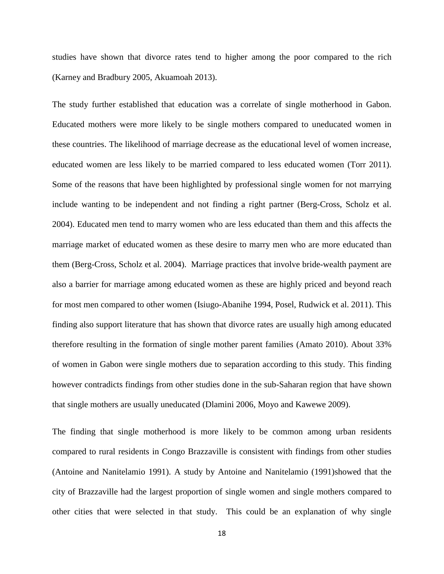studies have shown that divorce rates tend to higher among the poor compared to the rich [\(Karney and Bradbury 2005,](#page-21-17) [Akuamoah 2013\)](#page-20-18).

The study further established that education was a correlate of single motherhood in Gabon. Educated mothers were more likely to be single mothers compared to uneducated women in these countries. The likelihood of marriage decrease as the educational level of women increase, educated women are less likely to be married compared to less educated women [\(Torr 2011\)](#page-22-9). Some of the reasons that have been highlighted by professional single women for not marrying include wanting to be independent and not finding a right partner [\(Berg-Cross, Scholz et al.](#page-20-10)  [2004\)](#page-20-10). Educated men tend to marry women who are less educated than them and this affects the marriage market of educated women as these desire to marry men who are more educated than them [\(Berg-Cross, Scholz et al. 2004\)](#page-20-10). Marriage practices that involve bride-wealth payment are also a barrier for marriage among educated women as these are highly priced and beyond reach for most men compared to other women [\(Isiugo-Abanihe 1994,](#page-21-18) [Posel, Rudwick et al. 2011\)](#page-22-10). This finding also support literature that has shown that divorce rates are usually high among educated therefore resulting in the formation of single mother parent families [\(Amato 2010\)](#page-20-19). About 33% of women in Gabon were single mothers due to separation according to this study. This finding however contradicts findings from other studies done in the sub-Saharan region that have shown that single mothers are usually uneducated [\(Dlamini 2006,](#page-20-0) [Moyo and Kawewe 2009\)](#page-21-1).

The finding that single motherhood is more likely to be common among urban residents compared to rural residents in Congo Brazzaville is consistent with findings from other studies [\(Antoine and Nanitelamio 1991\)](#page-20-16). A study by [Antoine and Nanitelamio \(1991\)](#page-20-16)showed that the city of Brazzaville had the largest proportion of single women and single mothers compared to other cities that were selected in that study. This could be an explanation of why single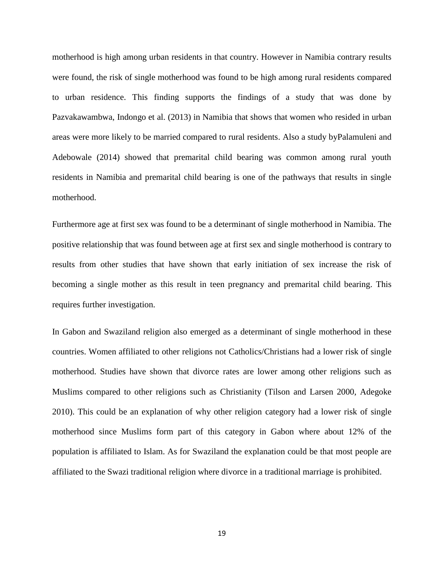motherhood is high among urban residents in that country. However in Namibia contrary results were found, the risk of single motherhood was found to be high among rural residents compared to urban residence. This finding supports the findings of a study that was done by [Pazvakawambwa, Indongo et al. \(2013\)](#page-22-2) in Namibia that shows that women who resided in urban areas were more likely to be married compared to rural residents. Also a study b[yPalamuleni and](#page-21-9)  [Adebowale \(2014\)](#page-21-9) showed that premarital child bearing was common among rural youth residents in Namibia and premarital child bearing is one of the pathways that results in single motherhood.

Furthermore age at first sex was found to be a determinant of single motherhood in Namibia. The positive relationship that was found between age at first sex and single motherhood is contrary to results from other studies that have shown that early initiation of sex increase the risk of becoming a single mother as this result in teen pregnancy and premarital child bearing. This requires further investigation.

In Gabon and Swaziland religion also emerged as a determinant of single motherhood in these countries. Women affiliated to other religions not Catholics/Christians had a lower risk of single motherhood. Studies have shown that divorce rates are lower among other religions such as Muslims compared to other religions such as Christianity [\(Tilson and Larsen 2000,](#page-22-11) [Adegoke](#page-19-1)  [2010\)](#page-19-1). This could be an explanation of why other religion category had a lower risk of single motherhood since Muslims form part of this category in Gabon where about 12% of the population is affiliated to Islam. As for Swaziland the explanation could be that most people are affiliated to the Swazi traditional religion where divorce in a traditional marriage is prohibited.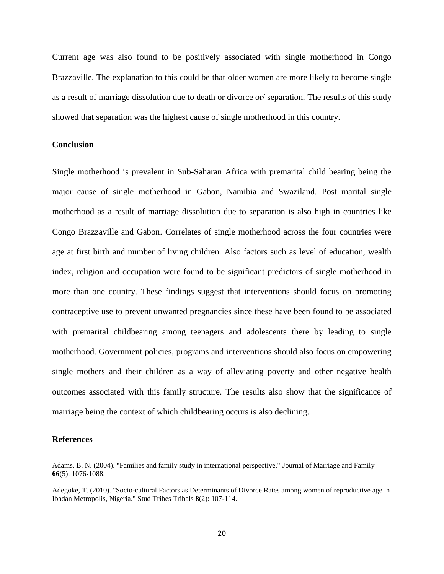Current age was also found to be positively associated with single motherhood in Congo Brazzaville. The explanation to this could be that older women are more likely to become single as a result of marriage dissolution due to death or divorce or/ separation. The results of this study showed that separation was the highest cause of single motherhood in this country.

# **Conclusion**

Single motherhood is prevalent in Sub-Saharan Africa with premarital child bearing being the major cause of single motherhood in Gabon, Namibia and Swaziland. Post marital single motherhood as a result of marriage dissolution due to separation is also high in countries like Congo Brazzaville and Gabon. Correlates of single motherhood across the four countries were age at first birth and number of living children. Also factors such as level of education, wealth index, religion and occupation were found to be significant predictors of single motherhood in more than one country. These findings suggest that interventions should focus on promoting contraceptive use to prevent unwanted pregnancies since these have been found to be associated with premarital childbearing among teenagers and adolescents there by leading to single motherhood. Government policies, programs and interventions should also focus on empowering single mothers and their children as a way of alleviating poverty and other negative health outcomes associated with this family structure. The results also show that the significance of marriage being the context of which childbearing occurs is also declining.

### **References**

<span id="page-19-0"></span>Adams, B. N. (2004). "Families and family study in international perspective." Journal of Marriage and Family **66**(5): 1076-1088.

<span id="page-19-1"></span>Adegoke, T. (2010). "Socio-cultural Factors as Determinants of Divorce Rates among women of reproductive age in Ibadan Metropolis, Nigeria." Stud Tribes Tribals **8**(2): 107-114.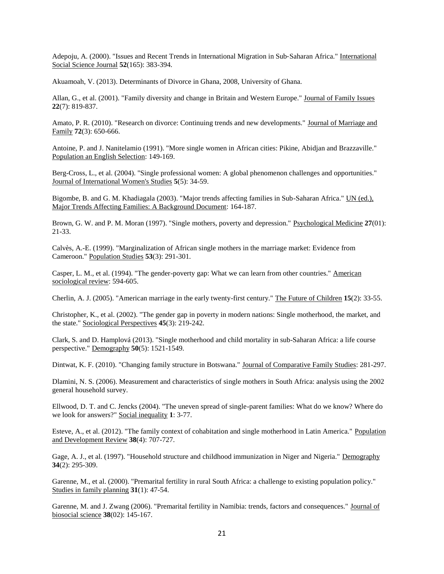<span id="page-20-15"></span>Adepoju, A. (2000). "Issues and Recent Trends in International Migration in Sub‐Saharan Africa." International Social Science Journal **52**(165): 383-394.

<span id="page-20-18"></span>Akuamoah, V. (2013). Determinants of Divorce in Ghana, 2008, University of Ghana.

<span id="page-20-1"></span>Allan, G., et al. (2001). "Family diversity and change in Britain and Western Europe." Journal of Family Issues **22**(7): 819-837.

<span id="page-20-19"></span>Amato, P. R. (2010). "Research on divorce: Continuing trends and new developments." Journal of Marriage and Family **72**(3): 650-666.

<span id="page-20-16"></span>Antoine, P. and J. Nanitelamio (1991). "More single women in African cities: Pikine, Abidjan and Brazzaville." Population an English Selection: 149-169.

<span id="page-20-10"></span>Berg-Cross, L., et al. (2004). "Single professional women: A global phenomenon challenges and opportunities." Journal of International Women's Studies **5**(5): 34-59.

<span id="page-20-2"></span>Bigombe, B. and G. M. Khadiagala (2003). "Major trends affecting families in Sub-Saharan Africa." UN (ed.), Major Trends Affecting Families: A Background Document: 164-187.

<span id="page-20-11"></span>Brown, G. W. and P. M. Moran (1997). "Single mothers, poverty and depression." Psychological Medicine **27**(01): 21-33.

<span id="page-20-6"></span>Calvès, A.-E. (1999). "Marginalization of African single mothers in the marriage market: Evidence from Cameroon." Population Studies **53**(3): 291-301.

<span id="page-20-14"></span>Casper, L. M., et al. (1994). "The gender-poverty gap: What we can learn from other countries." American sociological review: 594-605.

<span id="page-20-3"></span>Cherlin, A. J. (2005). "American marriage in the early twenty-first century." The Future of Children **15**(2): 33-55.

<span id="page-20-17"></span>Christopher, K., et al. (2002). "The gender gap in poverty in modern nations: Single motherhood, the market, and the state." Sociological Perspectives **45**(3): 219-242.

<span id="page-20-5"></span>Clark, S. and D. Hamplová (2013). "Single motherhood and child mortality in sub-Saharan Africa: a life course perspective." Demography **50**(5): 1521-1549.

<span id="page-20-4"></span>Dintwat, K. F. (2010). "Changing family structure in Botswana." Journal of Comparative Family Studies: 281-297.

<span id="page-20-0"></span>Dlamini, N. S. (2006). Measurement and characteristics of single mothers in South Africa: analysis using the 2002 general household survey.

<span id="page-20-13"></span>Ellwood, D. T. and C. Jencks (2004). "The uneven spread of single-parent families: What do we know? Where do we look for answers?" Social inequality **1**: 3-77.

<span id="page-20-9"></span>Esteve, A., et al. (2012). "The family context of cohabitation and single motherhood in Latin America." Population and Development Review **38**(4): 707-727.

<span id="page-20-12"></span>Gage, A. J., et al. (1997). "Household structure and childhood immunization in Niger and Nigeria." Demography **34**(2): 295-309.

<span id="page-20-7"></span>Garenne, M., et al. (2000). "Premarital fertility in rural South Africa: a challenge to existing population policy." Studies in family planning **31**(1): 47-54.

<span id="page-20-8"></span>Garenne, M. and J. Zwang (2006). "Premarital fertility in Namibia: trends, factors and consequences." Journal of biosocial science **38**(02): 145-167.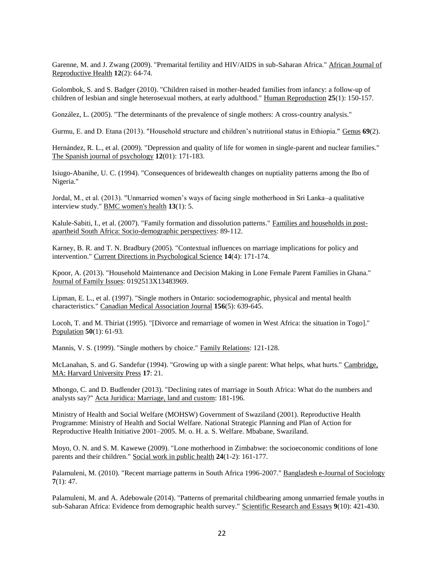<span id="page-21-16"></span>Garenne, M. and J. Zwang (2009). "Premarital fertility and HIV/AIDS in sub-Saharan Africa." African Journal of Reproductive Health **12**(2): 64-74.

<span id="page-21-3"></span>Golombok, S. and S. Badger (2010). "Children raised in mother-headed families from infancy: a follow-up of children of lesbian and single heterosexual mothers, at early adulthood." Human Reproduction **25**(1): 150-157.

<span id="page-21-0"></span>González, L. (2005). "The determinants of the prevalence of single mothers: A cross-country analysis."

<span id="page-21-13"></span>Gurmu, E. and D. Etana (2013). "Household structure and children's nutritional status in Ethiopia." Genus **69**(2).

<span id="page-21-12"></span>Hernández, R. L., et al. (2009). "Depression and quality of life for women in single-parent and nuclear families." The Spanish journal of psychology **12**(01): 171-183.

<span id="page-21-18"></span>Isiugo-Abanihe, U. C. (1994). "Consequences of bridewealth changes on nuptiality patterns among the Ibo of Nigeria."

<span id="page-21-4"></span>Jordal, M., et al. (2013). "Unmarried women's ways of facing single motherhood in Sri Lanka–a qualitative interview study." BMC women's health **13**(1): 5.

<span id="page-21-7"></span>Kalule-Sabiti, I., et al. (2007). "Family formation and dissolution patterns." Families and households in postapartheid South Africa: Socio-demographic perspectives: 89-112.

<span id="page-21-17"></span>Karney, B. R. and T. N. Bradbury (2005). "Contextual influences on marriage implications for policy and intervention." Current Directions in Psychological Science **14**(4): 171-174.

<span id="page-21-5"></span>Kpoor, A. (2013). "Household Maintenance and Decision Making in Lone Female Parent Families in Ghana." Journal of Family Issues: 0192513X13483969.

<span id="page-21-11"></span>Lipman, E. L., et al. (1997). "Single mothers in Ontario: sociodemographic, physical and mental health characteristics." Canadian Medical Association Journal **156**(5): 639-645.

<span id="page-21-6"></span>Locoh, T. and M. Thiriat (1995). "[Divorce and remarriage of women in West Africa: the situation in Togo]." Population **50**(1): 61-93.

<span id="page-21-2"></span>Mannis, V. S. (1999). "Single mothers by choice." Family Relations: 121-128.

<span id="page-21-14"></span>McLanahan, S. and G. Sandefur (1994). "Growing up with a single parent: What helps, what hurts." Cambridge, MA: Harvard University Press **17**: 21.

<span id="page-21-8"></span>Mhongo, C. and D. Budlender (2013). "Declining rates of marriage in South Africa: What do the numbers and analysts say?" Acta Juridica: Marriage, land and custom: 181-196.

<span id="page-21-15"></span>Ministry of Health and Social Welfare (MOHSW) Government of Swaziland (2001). Reproductive Health Programme: Ministry of Health and Social Welfare. National Strategic Planning and Plan of Action for Reproductive Health Initiative 2001–2005. M. o. H. a. S. Welfare. Mbabane, Swaziland.

<span id="page-21-1"></span>Moyo, O. N. and S. M. Kawewe (2009). "Lone motherhood in Zimbabwe: the socioeconomic conditions of lone parents and their children." Social work in public health **24**(1-2): 161-177.

<span id="page-21-10"></span>Palamuleni, M. (2010). "Recent marriage patterns in South Africa 1996-2007." Bangladesh e-Journal of Sociology **7**(1): 47.

<span id="page-21-9"></span>Palamuleni, M. and A. Adebowale (2014). "Patterns of premarital childbearing among unmarried female youths in sub-Saharan Africa: Evidence from demographic health survey." Scientific Research and Essays **9**(10): 421-430.